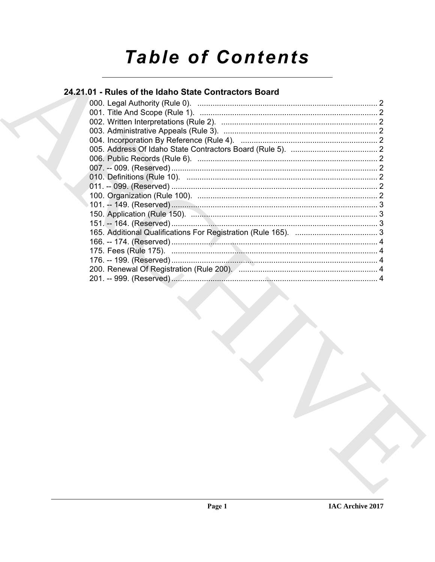# **Table of Contents**

# 24.21.01 - Rules of the Idaho State Contractors Board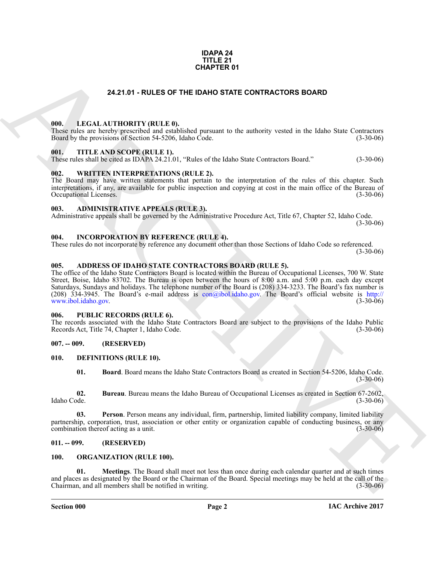#### **IDAPA 24 TITLE 21 CHAPTER 01**

#### **24.21.01 - RULES OF THE IDAHO STATE CONTRACTORS BOARD**

#### <span id="page-1-1"></span><span id="page-1-0"></span>**000. LEGAL AUTHORITY (RULE 0).**

These rules are hereby prescribed and established pursuant to the authority vested in the Idaho State Contractors Board by the provisions of Section 54-5206, Idaho Code. (3-30-06)

#### <span id="page-1-2"></span>**001. TITLE AND SCOPE (RULE 1).**

These rules shall be cited as IDAPA 24.21.01, "Rules of the Idaho State Contractors Board." (3-30-06)

#### <span id="page-1-3"></span>**002. WRITTEN INTERPRETATIONS (RULE 2).**

The Board may have written statements that pertain to the interpretation of the rules of this chapter. Such interpretations, if any, are available for public inspection and copying at cost in the main office of the Bureau of Occupational Licenses.

#### <span id="page-1-4"></span>**003. ADMINISTRATIVE APPEALS (RULE 3).**

Administrative appeals shall be governed by the Administrative Procedure Act, Title 67, Chapter 52, Idaho Code. (3-30-06)

#### <span id="page-1-5"></span>**004. INCORPORATION BY REFERENCE (RULE 4).**

These rules do not incorporate by reference any document other than those Sections of Idaho Code so referenced. (3-30-06)

#### <span id="page-1-6"></span>**005. ADDRESS OF IDAHO STATE CONTRACTORS BOARD (RULE 5).**

**[CH](mailto:con@ibol.idaho.gov)APTER 01**<br> **CHAPTER 01**<br> **CHAPTER 01**<br> **CHAPTER 01**<br> **CHAPTER 01**<br> **CHAPTER 01**<br> **CHAPTER 01**<br> **CHAPTER 01**<br> **CHAPTER 01**<br> **CHAPTER 0.000**<br> **CHAPTER 0.000**<br> **CHAPTER 0.000**<br> **CHAPTER 0.000**<br> **CHAPTER 0.000**<br> **CHAPTER 0** The office of the Idaho State Contractors Board is located within the Bureau of Occupational Licenses, 700 W. State Street, Boise, Idaho 83702. The Bureau is open between the hours of 8:00 a.m. and 5:00 p.m. each day except Saturdays, Sundays and holidays. The telephone number of the Board is (208) 334-3233. The Board's fax number is (208) 334-3945. The Board's e-mail address is con@ibol.idaho.gov. The Board's official website is http:// www.ibol.idaho.gov.

#### <span id="page-1-7"></span>**006. PUBLIC RECORDS (RULE 6).**

The records associated with the Idaho State Contractors Board are subject to the provisions of the Idaho Public<br>Records Act, Title 74, Chapter 1, Idaho Code. (3-30-06) Records Act, Title 74, Chapter 1, Idaho Code.

#### <span id="page-1-8"></span>**007. -- 009. (RESERVED)**

#### <span id="page-1-9"></span>**010. DEFINITIONS (RULE 10).**

<span id="page-1-15"></span><span id="page-1-14"></span><span id="page-1-13"></span><span id="page-1-12"></span>**01. Board**. Board means the Idaho State Contractors Board as created in Section 54-5206, Idaho Code.  $(3-30-06)$ 

**02. Bureau**. Bureau means the Idaho Bureau of Occupational Licenses as created in Section 67-2602, Idaho Code. (3-30-06)

**03. Person**. Person means any individual, firm, partnership, limited liability company, limited liability partnership, corporation, trust, association or other entity or organization capable of conducting business, or any combination thereof acting as a unit. combination thereof acting as a unit.

#### <span id="page-1-10"></span>**011. -- 099. (RESERVED)**

#### <span id="page-1-17"></span><span id="page-1-16"></span><span id="page-1-11"></span>**100. ORGANIZATION (RULE 100).**

**01. Meetings**. The Board shall meet not less than once during each calendar quarter and at such times and places as designated by the Board or the Chairman of the Board. Special meetings may be held at the call of the Chairman, and all members shall be notified in writing. Chairman, and all members shall be notified in writing.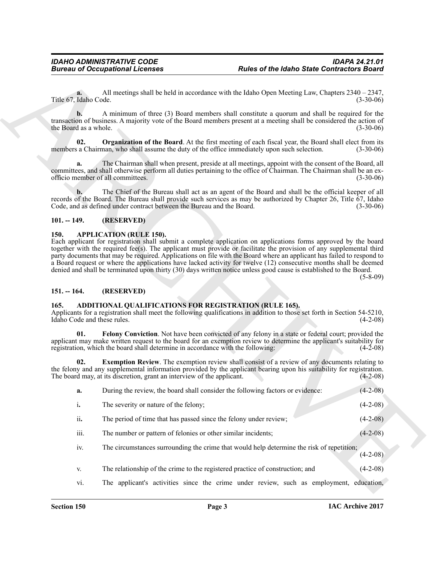#### <span id="page-2-8"></span><span id="page-2-0"></span>**101. -- 149. (RESERVED)**

#### <span id="page-2-7"></span><span id="page-2-1"></span>**150. APPLICATION (RULE 150).**

#### <span id="page-2-2"></span>**151. -- 164. (RESERVED)**

#### <span id="page-2-6"></span><span id="page-2-5"></span><span id="page-2-4"></span><span id="page-2-3"></span>**165. ADDITIONAL QUALIFICATIONS FOR REGISTRATION (RULE 165).**

|                                     | <b>Bureau of Occupational Licenses</b>                                                       | <b>Rules of the Idaho State Contractors Board</b>                                                                                                                                                                                                                                                                                                                                                                                                                                                                                                                                                          |                                                                                                                            |
|-------------------------------------|----------------------------------------------------------------------------------------------|------------------------------------------------------------------------------------------------------------------------------------------------------------------------------------------------------------------------------------------------------------------------------------------------------------------------------------------------------------------------------------------------------------------------------------------------------------------------------------------------------------------------------------------------------------------------------------------------------------|----------------------------------------------------------------------------------------------------------------------------|
| a.<br>Title 67, Idaho Code.         |                                                                                              | All meetings shall be held in accordance with the Idaho Open Meeting Law, Chapters $2340 - 2347$ ,                                                                                                                                                                                                                                                                                                                                                                                                                                                                                                         | $(3-30-06)$                                                                                                                |
| b.<br>the Board as a whole.         |                                                                                              | A minimum of three (3) Board members shall constitute a quorum and shall be required for the<br>transaction of business. A majority vote of the Board members present at a meeting shall be considered the action of                                                                                                                                                                                                                                                                                                                                                                                       | $(3-30-06)$                                                                                                                |
| 02.                                 | members a Chairman, who shall assume the duty of the office immediately upon such selection. | Organization of the Board. At the first meeting of each fiscal year, the Board shall elect from its                                                                                                                                                                                                                                                                                                                                                                                                                                                                                                        | $(3-30-06)$                                                                                                                |
| a.                                  | officio member of all committees.                                                            | The Chairman shall when present, preside at all meetings, appoint with the consent of the Board, all<br>committees, and shall otherwise perform all duties pertaining to the office of Chairman. The Chairman shall be an ex-                                                                                                                                                                                                                                                                                                                                                                              | $(3-30-06)$                                                                                                                |
| b.                                  | Code, and as defined under contract between the Bureau and the Board.                        | The Chief of the Bureau shall act as an agent of the Board and shall be the official keeper of all<br>records of the Board. The Bureau shall provide such services as may be authorized by Chapter 26, Title 67, Idaho                                                                                                                                                                                                                                                                                                                                                                                     | $(3-30-06)$                                                                                                                |
| $101. - 149.$                       | (RESERVED)                                                                                   |                                                                                                                                                                                                                                                                                                                                                                                                                                                                                                                                                                                                            |                                                                                                                            |
| $151. - 164.$                       | (RESERVED)                                                                                   | Each applicant for registration shall submit a complete application on applications forms approved by the board<br>together with the required fee(s). The applicant must provide or facilitate the provision of any supplemental third<br>party documents that may be required. Applications on file with the Board where an applicant has failed to respond to<br>a Board request or where the applications have lacked activity for twelve (12) consecutive months shall be deemed<br>denied and shall be terminated upon thirty (30) days written notice unless good cause is established to the Board. | $(5-8-09)$                                                                                                                 |
|                                     | ADDITIONAL QUALIFICATIONS FOR REGISTRATION (RULE 165).                                       |                                                                                                                                                                                                                                                                                                                                                                                                                                                                                                                                                                                                            |                                                                                                                            |
| 165.<br>Idaho Code and these rules. |                                                                                              | Applicants for a registration shall meet the following qualifications in addition to those set forth in Section 54-5210,                                                                                                                                                                                                                                                                                                                                                                                                                                                                                   |                                                                                                                            |
| 01.                                 | registration, which the board shall determine in accordance with the following:              | Felony Conviction. Not have been convicted of any felony in a state or federal court; provided the<br>applicant may make written request to the board for an exemption review to determine the applicant's suitability for                                                                                                                                                                                                                                                                                                                                                                                 |                                                                                                                            |
| 02.                                 | The board may, at its discretion, grant an interview of the applicant.                       | <b>Exemption Review.</b> The exemption review shall consist of a review of any documents relating to<br>the felony and any supplemental information provided by the applicant bearing upon his suitability for registration.                                                                                                                                                                                                                                                                                                                                                                               |                                                                                                                            |
| a.                                  | During the review, the board shall consider the following factors or evidence:               |                                                                                                                                                                                                                                                                                                                                                                                                                                                                                                                                                                                                            |                                                                                                                            |
| i.                                  | The severity or nature of the felony;                                                        |                                                                                                                                                                                                                                                                                                                                                                                                                                                                                                                                                                                                            |                                                                                                                            |
| ii.                                 | The period of time that has passed since the felony under review;                            |                                                                                                                                                                                                                                                                                                                                                                                                                                                                                                                                                                                                            |                                                                                                                            |
| iii.                                | The number or pattern of felonies or other similar incidents;                                |                                                                                                                                                                                                                                                                                                                                                                                                                                                                                                                                                                                                            |                                                                                                                            |
| iv.                                 |                                                                                              | The circumstances surrounding the crime that would help determine the risk of repetition;                                                                                                                                                                                                                                                                                                                                                                                                                                                                                                                  |                                                                                                                            |
| V.                                  | The relationship of the crime to the registered practice of construction; and                |                                                                                                                                                                                                                                                                                                                                                                                                                                                                                                                                                                                                            | $(4-2-08)$<br>$(4-2-08)$<br>$(4-2-08)$<br>$(4-2-08)$<br>$(4-2-08)$<br>$(4-2-08)$<br>$(4-2-08)$<br>$(4-2-08)$<br>$(4-2-08)$ |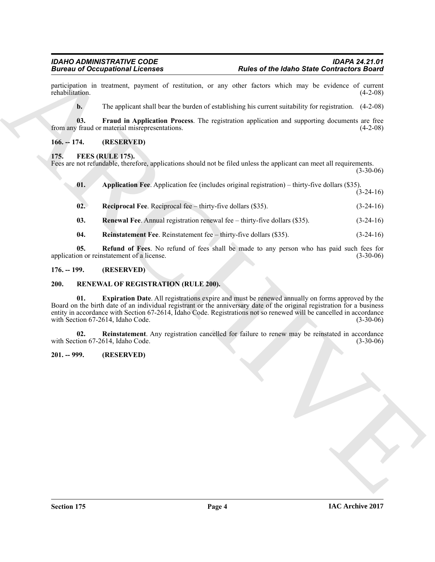#### <span id="page-3-6"></span><span id="page-3-5"></span><span id="page-3-1"></span><span id="page-3-0"></span>**175. FEES (RULE 175).**

| <b>Bureau of Occupational Licenses</b>                                                                                                                          |                                                                            | <b>Rules of the Idaho State Contractors Board</b>                                                                                                                                                                                                                                                                                                        |             |  |
|-----------------------------------------------------------------------------------------------------------------------------------------------------------------|----------------------------------------------------------------------------|----------------------------------------------------------------------------------------------------------------------------------------------------------------------------------------------------------------------------------------------------------------------------------------------------------------------------------------------------------|-------------|--|
| rehabilitation.                                                                                                                                                 |                                                                            | participation in treatment, payment of restitution, or any other factors which may be evidence of current                                                                                                                                                                                                                                                | $(4-2-08)$  |  |
| $\mathbf{b}$ .                                                                                                                                                  |                                                                            | The applicant shall bear the burden of establishing his current suitability for registration. $(4-2-08)$                                                                                                                                                                                                                                                 |             |  |
| 03.                                                                                                                                                             | from any fraud or material misrepresentations.                             | Fraud in Application Process. The registration application and supporting documents are free                                                                                                                                                                                                                                                             | $(4-2-08)$  |  |
| $166. - 174.$                                                                                                                                                   | (RESERVED)                                                                 |                                                                                                                                                                                                                                                                                                                                                          |             |  |
| FEES (RULE 175).<br>175.<br>Fees are not refundable, therefore, applications should not be filed unless the applicant can meet all requirements.<br>$(3-30-06)$ |                                                                            |                                                                                                                                                                                                                                                                                                                                                          |             |  |
| 01.                                                                                                                                                             |                                                                            | Application Fee. Application fee (includes original registration) – thirty-five dollars (\$35).                                                                                                                                                                                                                                                          | $(3-24-16)$ |  |
| 02.                                                                                                                                                             | <b>Reciprocal Fee.</b> Reciprocal fee – thirty-five dollars (\$35).        |                                                                                                                                                                                                                                                                                                                                                          | $(3-24-16)$ |  |
| 03.                                                                                                                                                             | Renewal Fee. Annual registration renewal fee – thirty-five dollars (\$35). |                                                                                                                                                                                                                                                                                                                                                          | $(3-24-16)$ |  |
| 04.                                                                                                                                                             | Reinstatement Fee. Reinstatement fee - thirty-five dollars (\$35).         |                                                                                                                                                                                                                                                                                                                                                          | $(3-24-16)$ |  |
| 05.                                                                                                                                                             | application or reinstatement of a license.                                 | Refund of Fees. No refund of fees shall be made to any person who has paid such fees for                                                                                                                                                                                                                                                                 | $(3-30-06)$ |  |
| $176. - 199.$                                                                                                                                                   | (RESERVED)                                                                 |                                                                                                                                                                                                                                                                                                                                                          |             |  |
| <b>200.</b>                                                                                                                                                     | RENEWAL OF REGISTRATION (RULE 200).                                        |                                                                                                                                                                                                                                                                                                                                                          |             |  |
| 01.                                                                                                                                                             | with Section 67-2614, Idaho Code.                                          | <b>Expiration Date.</b> All registrations expire and must be renewed annually on forms approved by the<br>Board on the birth date of an individual registrant or the anniversary date of the original registration for a business<br>entity in accordance with Section 67-2614, Idaho Code. Registrations not so renewed will be cancelled in accordance | $(3-30-06)$ |  |
| 02.                                                                                                                                                             | with Section 67-2614, Idaho Code.                                          | <b>Reinstatement</b> . Any registration cancelled for failure to renew may be reinstated in accordance                                                                                                                                                                                                                                                   | $(3-30-06)$ |  |
| $201. - 999.$                                                                                                                                                   | (RESERVED)                                                                 |                                                                                                                                                                                                                                                                                                                                                          |             |  |
|                                                                                                                                                                 |                                                                            |                                                                                                                                                                                                                                                                                                                                                          |             |  |
|                                                                                                                                                                 |                                                                            |                                                                                                                                                                                                                                                                                                                                                          |             |  |
|                                                                                                                                                                 |                                                                            |                                                                                                                                                                                                                                                                                                                                                          |             |  |
|                                                                                                                                                                 |                                                                            |                                                                                                                                                                                                                                                                                                                                                          |             |  |
|                                                                                                                                                                 |                                                                            |                                                                                                                                                                                                                                                                                                                                                          |             |  |

- <span id="page-3-11"></span><span id="page-3-8"></span><span id="page-3-7"></span>**03. Renewal Fee**. Annual registration renewal fee – thirty-five dollars (\$35). (3-24-16)
- <span id="page-3-10"></span><span id="page-3-9"></span>**04.** Reinstatement Fee. Reinstatement fee – thirty-five dollars (\$35). (3-24-16)

#### <span id="page-3-2"></span>**176. -- 199. (RESERVED)**

#### <span id="page-3-13"></span><span id="page-3-12"></span><span id="page-3-3"></span>**200. RENEWAL OF REGISTRATION (RULE 200).**

#### <span id="page-3-14"></span><span id="page-3-4"></span>**201. -- 999. (RESERVED)**